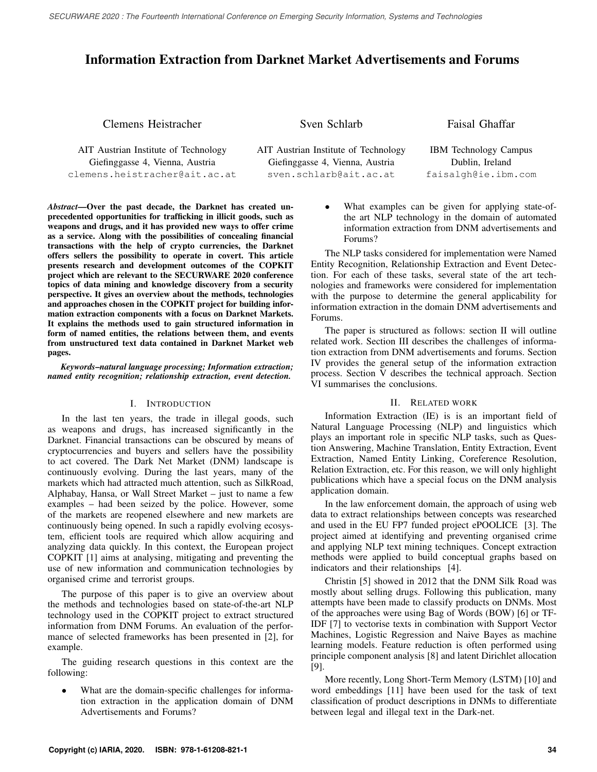SECURWARE 2020 : The Fourteenth International Conference on Emerging Security Information, Systems and Technologies

# Information Extraction from Darknet Market Advertisements and Forums

Clemens Heistracher

Sven Schlarb

Faisal Ghaffar

AIT Austrian Institute of Technology Giefinggasse 4, Vienna, Austria clemens.heistracher@ait.ac.at AIT Austrian Institute of Technology Giefinggasse 4, Vienna, Austria sven.schlarb@ait.ac.at

IBM Technology Campus Dublin, Ireland faisalgh@ie.ibm.com

*Abstract*—Over the past decade, the Darknet has created unprecedented opportunities for trafficking in illicit goods, such as weapons and drugs, and it has provided new ways to offer crime as a service. Along with the possibilities of concealing financial transactions with the help of crypto currencies, the Darknet offers sellers the possibility to operate in covert. This article presents research and development outcomes of the COPKIT project which are relevant to the SECURWARE 2020 conference topics of data mining and knowledge discovery from a security perspective. It gives an overview about the methods, technologies and approaches chosen in the COPKIT project for building information extraction components with a focus on Darknet Markets. It explains the methods used to gain structured information in form of named entities, the relations between them, and events from unstructured text data contained in Darknet Market web pages.

*Keywords*–*natural language processing; Information extraction; named entity recognition; relationship extraction, event detection.*

# I. INTRODUCTION

In the last ten years, the trade in illegal goods, such as weapons and drugs, has increased significantly in the Darknet. Financial transactions can be obscured by means of cryptocurrencies and buyers and sellers have the possibility to act covered. The Dark Net Market (DNM) landscape is continuously evolving. During the last years, many of the markets which had attracted much attention, such as SilkRoad, Alphabay, Hansa, or Wall Street Market – just to name a few examples – had been seized by the police. However, some of the markets are reopened elsewhere and new markets are continuously being opened. In such a rapidly evolving ecosystem, efficient tools are required which allow acquiring and analyzing data quickly. In this context, the European project COPKIT [1] aims at analysing, mitigating and preventing the use of new information and communication technologies by organised crime and terrorist groups.

The purpose of this paper is to give an overview about the methods and technologies based on state-of-the-art NLP technology used in the COPKIT project to extract structured information from DNM Forums. An evaluation of the performance of selected frameworks has been presented in [2], for example.

The guiding research questions in this context are the following:

• What are the domain-specific challenges for information extraction in the application domain of DNM Advertisements and Forums?

What examples can be given for applying state-ofthe art NLP technology in the domain of automated information extraction from DNM advertisements and Forums?

The NLP tasks considered for implementation were Named Entity Recognition, Relationship Extraction and Event Detection. For each of these tasks, several state of the art technologies and frameworks were considered for implementation with the purpose to determine the general applicability for information extraction in the domain DNM advertisements and Forums.

The paper is structured as follows: section II will outline related work. Section III describes the challenges of information extraction from DNM advertisements and forums. Section IV provides the general setup of the information extraction process. Section V describes the technical approach. Section VI summarises the conclusions.

# II. RELATED WORK

Information Extraction (IE) is is an important field of Natural Language Processing (NLP) and linguistics which plays an important role in specific NLP tasks, such as Question Answering, Machine Translation, Entity Extraction, Event Extraction, Named Entity Linking, Coreference Resolution, Relation Extraction, etc. For this reason, we will only highlight publications which have a special focus on the DNM analysis application domain.

In the law enforcement domain, the approach of using web data to extract relationships between concepts was researched and used in the EU FP7 funded project ePOOLICE [3]. The project aimed at identifying and preventing organised crime and applying NLP text mining techniques. Concept extraction methods were applied to build conceptual graphs based on indicators and their relationships [4].

Christin [5] showed in 2012 that the DNM Silk Road was mostly about selling drugs. Following this publication, many attempts have been made to classify products on DNMs. Most of the approaches were using Bag of Words (BOW) [6] or TF-IDF [7] to vectorise texts in combination with Support Vector Machines, Logistic Regression and Naive Bayes as machine learning models. Feature reduction is often performed using principle component analysis [8] and latent Dirichlet allocation [9].

More recently, Long Short-Term Memory (LSTM) [10] and word embeddings [11] have been used for the task of text classification of product descriptions in DNMs to differentiate between legal and illegal text in the Dark-net.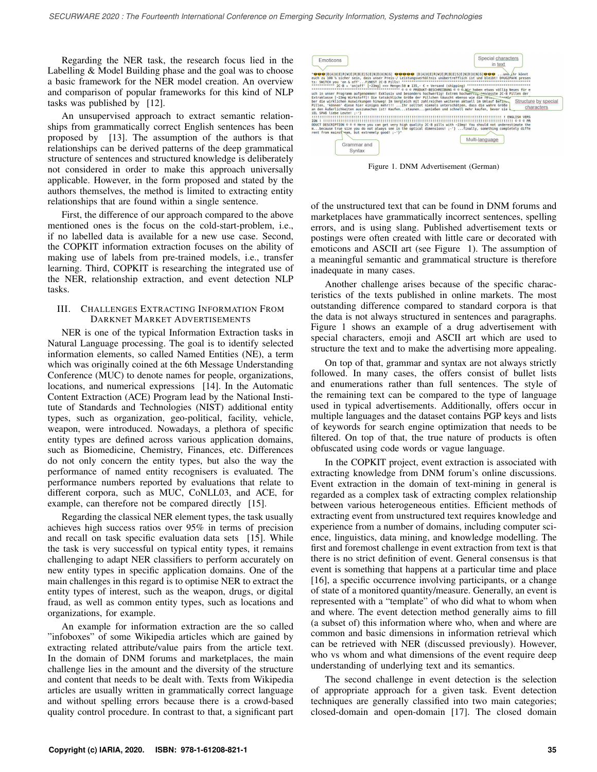Regarding the NER task, the research focus lied in the Labelling & Model Building phase and the goal was to choose a basic framework for the NER model creation. An overview and comparison of popular frameworks for this kind of NLP tasks was published by [12].

An unsupervised approach to extract semantic relationships from grammatically correct English sentences has been proposed by [13]. The assumption of the authors is that relationships can be derived patterns of the deep grammatical structure of sentences and structured knowledge is deliberately not considered in order to make this approach universally applicable. However, in the form proposed and stated by the authors themselves, the method is limited to extracting entity relationships that are found within a single sentence.

First, the difference of our approach compared to the above mentioned ones is the focus on the cold-start-problem, i.e., if no labelled data is available for a new use case. Second, the COPKIT information extraction focuses on the ability of making use of labels from pre-trained models, i.e., transfer learning. Third, COPKIT is researching the integrated use of the NER, relationship extraction, and event detection NLP tasks.

## III. CHALLENGES EXTRACTING INFORMATION FROM DARKNET MARKET ADVERTISEMENTS

NER is one of the typical Information Extraction tasks in Natural Language processing. The goal is to identify selected information elements, so called Named Entities (NE), a term which was originally coined at the 6th Message Understanding Conference (MUC) to denote names for people, organizations, locations, and numerical expressions [14]. In the Automatic Content Extraction (ACE) Program lead by the National Institute of Standards and Technologies (NIST) additional entity types, such as organization, geo-political, facility, vehicle, weapon, were introduced. Nowadays, a plethora of specific entity types are defined across various application domains, such as Biomedicine, Chemistry, Finances, etc. Differences do not only concern the entity types, but also the way the performance of named entity recognisers is evaluated. The performance numbers reported by evaluations that relate to different corpora, such as MUC, CoNLL03, and ACE, for example, can therefore not be compared directly [15].

Regarding the classical NER element types, the task usually achieves high success ratios over 95% in terms of precision and recall on task specific evaluation data sets [15]. While the task is very successful on typical entity types, it remains challenging to adapt NER classifiers to perform accurately on new entity types in specific application domains. One of the main challenges in this regard is to optimise NER to extract the entity types of interest, such as the weapon, drugs, or digital fraud, as well as common entity types, such as locations and organizations, for example.

An example for information extraction are the so called "infoboxes" of some Wikipedia articles which are gained by extracting related attribute/value pairs from the article text. In the domain of DNM forums and marketplaces, the main challenge lies in the amount and the diversity of the structure and content that needs to be dealt with. Texts from Wikipedia articles are usually written in grammatically correct language and without spelling errors because there is a crowd-based quality control procedure. In contrast to that, a significant part



Figure 1. DNM Advertisement (German)

of the unstructured text that can be found in DNM forums and marketplaces have grammatically incorrect sentences, spelling errors, and is using slang. Published advertisement texts or postings were often created with little care or decorated with emoticons and ASCII art (see Figure 1). The assumption of a meaningful semantic and grammatical structure is therefore inadequate in many cases.

Another challenge arises because of the specific characteristics of the texts published in online markets. The most outstanding difference compared to standard corpora is that the data is not always structured in sentences and paragraphs. Figure 1 shows an example of a drug advertisement with special characters, emoji and ASCII art which are used to structure the text and to make the advertising more appealing.

On top of that, grammar and syntax are not always strictly followed. In many cases, the offers consist of bullet lists and enumerations rather than full sentences. The style of the remaining text can be compared to the type of language used in typical advertisements. Additionally, offers occur in multiple languages and the dataset contains PGP keys and lists of keywords for search engine optimization that needs to be filtered. On top of that, the true nature of products is often obfuscated using code words or vague language.

In the COPKIT project, event extraction is associated with extracting knowledge from DNM forum's online discussions. Event extraction in the domain of text-mining in general is regarded as a complex task of extracting complex relationship between various heterogeneous entities. Efficient methods of extracting event from unstructured text requires knowledge and experience from a number of domains, including computer science, linguistics, data mining, and knowledge modelling. The first and foremost challenge in event extraction from text is that there is no strict definition of event. General consensus is that event is something that happens at a particular time and place [16], a specific occurrence involving participants, or a change of state of a monitored quantity/measure. Generally, an event is represented with a "template" of who did what to whom when and where. The event detection method generally aims to fill (a subset of) this information where who, when and where are common and basic dimensions in information retrieval which can be retrieved with NER (discussed previously). However, who vs whom and what dimensions of the event require deep understanding of underlying text and its semantics.

The second challenge in event detection is the selection of appropriate approach for a given task. Event detection techniques are generally classified into two main categories; closed-domain and open-domain [17]. The closed domain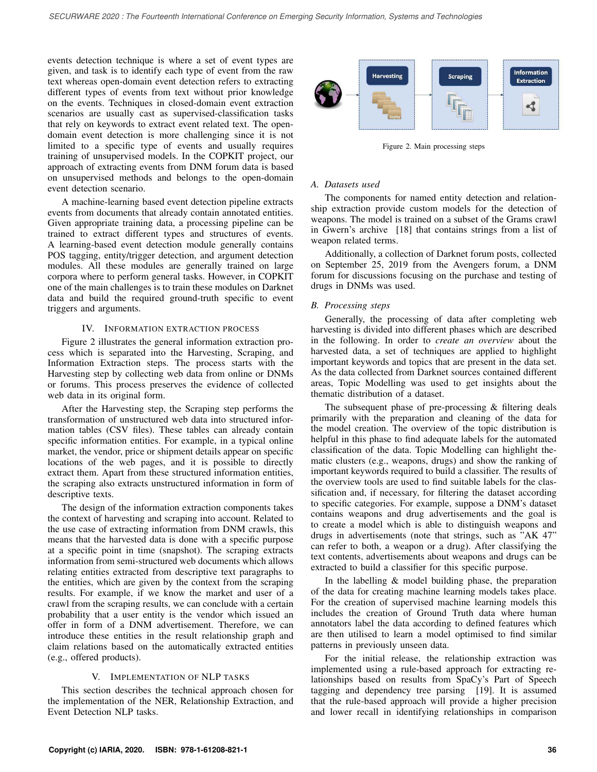events detection technique is where a set of event types are given, and task is to identify each type of event from the raw text whereas open-domain event detection refers to extracting different types of events from text without prior knowledge on the events. Techniques in closed-domain event extraction scenarios are usually cast as supervised-classification tasks that rely on keywords to extract event related text. The opendomain event detection is more challenging since it is not limited to a specific type of events and usually requires training of unsupervised models. In the COPKIT project, our approach of extracting events from DNM forum data is based on unsupervised methods and belongs to the open-domain event detection scenario.

A machine-learning based event detection pipeline extracts events from documents that already contain annotated entities. Given appropriate training data, a processing pipeline can be trained to extract different types and structures of events. A learning-based event detection module generally contains POS tagging, entity/trigger detection, and argument detection modules. All these modules are generally trained on large corpora where to perform general tasks. However, in COPKIT one of the main challenges is to train these modules on Darknet data and build the required ground-truth specific to event triggers and arguments.

#### IV. INFORMATION EXTRACTION PROCESS

Figure 2 illustrates the general information extraction process which is separated into the Harvesting, Scraping, and Information Extraction steps. The process starts with the Harvesting step by collecting web data from online or DNMs or forums. This process preserves the evidence of collected web data in its original form.

After the Harvesting step, the Scraping step performs the transformation of unstructured web data into structured information tables (CSV files). These tables can already contain specific information entities. For example, in a typical online market, the vendor, price or shipment details appear on specific locations of the web pages, and it is possible to directly extract them. Apart from these structured information entities, the scraping also extracts unstructured information in form of descriptive texts.

The design of the information extraction components takes the context of harvesting and scraping into account. Related to the use case of extracting information from DNM crawls, this means that the harvested data is done with a specific purpose at a specific point in time (snapshot). The scraping extracts information from semi-structured web documents which allows relating entities extracted from descriptive text paragraphs to the entities, which are given by the context from the scraping results. For example, if we know the market and user of a crawl from the scraping results, we can conclude with a certain probability that a user entity is the vendor which issued an offer in form of a DNM advertisement. Therefore, we can introduce these entities in the result relationship graph and claim relations based on the automatically extracted entities (e.g., offered products).

#### V. IMPLEMENTATION OF NLP TASKS

This section describes the technical approach chosen for the implementation of the NER, Relationship Extraction, and Event Detection NLP tasks.



Figure 2. Main processing steps

#### *A. Datasets used*

The components for named entity detection and relationship extraction provide custom models for the detection of weapons. The model is trained on a subset of the Grams crawl in Gwern's archive [18] that contains strings from a list of weapon related terms.

Additionally, a collection of Darknet forum posts, collected on September 25, 2019 from the Avengers forum, a DNM forum for discussions focusing on the purchase and testing of drugs in DNMs was used.

#### *B. Processing steps*

Generally, the processing of data after completing web harvesting is divided into different phases which are described in the following. In order to *create an overview* about the harvested data, a set of techniques are applied to highlight important keywords and topics that are present in the data set. As the data collected from Darknet sources contained different areas, Topic Modelling was used to get insights about the thematic distribution of a dataset.

The subsequent phase of pre-processing  $&$  filtering deals primarily with the preparation and cleaning of the data for the model creation. The overview of the topic distribution is helpful in this phase to find adequate labels for the automated classification of the data. Topic Modelling can highlight thematic clusters (e.g., weapons, drugs) and show the ranking of important keywords required to build a classifier. The results of the overview tools are used to find suitable labels for the classification and, if necessary, for filtering the dataset according to specific categories. For example, suppose a DNM's dataset contains weapons and drug advertisements and the goal is to create a model which is able to distinguish weapons and drugs in advertisements (note that strings, such as "AK 47" can refer to both, a weapon or a drug). After classifying the text contents, advertisements about weapons and drugs can be extracted to build a classifier for this specific purpose.

In the labelling  $\&$  model building phase, the preparation of the data for creating machine learning models takes place. For the creation of supervised machine learning models this includes the creation of Ground Truth data where human annotators label the data according to defined features which are then utilised to learn a model optimised to find similar patterns in previously unseen data.

For the initial release, the relationship extraction was implemented using a rule-based approach for extracting relationships based on results from SpaCy's Part of Speech tagging and dependency tree parsing [19]. It is assumed that the rule-based approach will provide a higher precision and lower recall in identifying relationships in comparison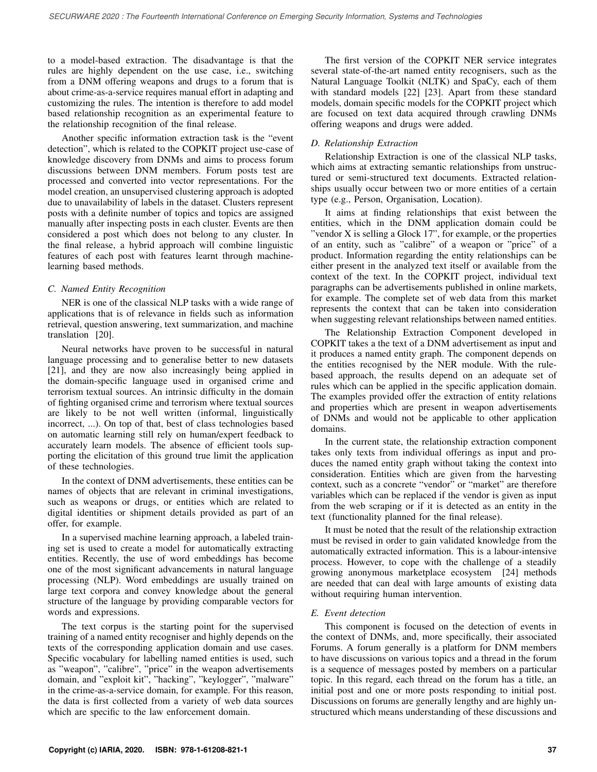to a model-based extraction. The disadvantage is that the rules are highly dependent on the use case, i.e., switching from a DNM offering weapons and drugs to a forum that is about crime-as-a-service requires manual effort in adapting and customizing the rules. The intention is therefore to add model based relationship recognition as an experimental feature to the relationship recognition of the final release.

Another specific information extraction task is the "event detection", which is related to the COPKIT project use-case of knowledge discovery from DNMs and aims to process forum discussions between DNM members. Forum posts test are processed and converted into vector representations. For the model creation, an unsupervised clustering approach is adopted due to unavailability of labels in the dataset. Clusters represent posts with a definite number of topics and topics are assigned manually after inspecting posts in each cluster. Events are then considered a post which does not belong to any cluster. In the final release, a hybrid approach will combine linguistic features of each post with features learnt through machinelearning based methods.

## *C. Named Entity Recognition*

NER is one of the classical NLP tasks with a wide range of applications that is of relevance in fields such as information retrieval, question answering, text summarization, and machine translation [20].

Neural networks have proven to be successful in natural language processing and to generalise better to new datasets [21], and they are now also increasingly being applied in the domain-specific language used in organised crime and terrorism textual sources. An intrinsic difficulty in the domain of fighting organised crime and terrorism where textual sources are likely to be not well written (informal, linguistically incorrect, ...). On top of that, best of class technologies based on automatic learning still rely on human/expert feedback to accurately learn models. The absence of efficient tools supporting the elicitation of this ground true limit the application of these technologies.

In the context of DNM advertisements, these entities can be names of objects that are relevant in criminal investigations, such as weapons or drugs, or entities which are related to digital identities or shipment details provided as part of an offer, for example.

In a supervised machine learning approach, a labeled training set is used to create a model for automatically extracting entities. Recently, the use of word embeddings has become one of the most significant advancements in natural language processing (NLP). Word embeddings are usually trained on large text corpora and convey knowledge about the general structure of the language by providing comparable vectors for words and expressions.

The text corpus is the starting point for the supervised training of a named entity recogniser and highly depends on the texts of the corresponding application domain and use cases. Specific vocabulary for labelling named entities is used, such as "weapon", "calibre", "price" in the weapon advertisements domain, and "exploit kit", "hacking", "keylogger", "malware" in the crime-as-a-service domain, for example. For this reason, the data is first collected from a variety of web data sources which are specific to the law enforcement domain.

The first version of the COPKIT NER service integrates several state-of-the-art named entity recognisers, such as the Natural Language Toolkit (NLTK) and SpaCy, each of them with standard models [22] [23]. Apart from these standard models, domain specific models for the COPKIT project which are focused on text data acquired through crawling DNMs offering weapons and drugs were added.

# *D. Relationship Extraction*

Relationship Extraction is one of the classical NLP tasks, which aims at extracting semantic relationships from unstructured or semi-structured text documents. Extracted relationships usually occur between two or more entities of a certain type (e.g., Person, Organisation, Location).

It aims at finding relationships that exist between the entities, which in the DNM application domain could be "vendor X is selling a Glock 17", for example, or the properties of an entity, such as "calibre" of a weapon or "price" of a product. Information regarding the entity relationships can be either present in the analyzed text itself or available from the context of the text. In the COPKIT project, individual text paragraphs can be advertisements published in online markets, for example. The complete set of web data from this market represents the context that can be taken into consideration when suggesting relevant relationships between named entities.

The Relationship Extraction Component developed in COPKIT takes a the text of a DNM advertisement as input and it produces a named entity graph. The component depends on the entities recognised by the NER module. With the rulebased approach, the results depend on an adequate set of rules which can be applied in the specific application domain. The examples provided offer the extraction of entity relations and properties which are present in weapon advertisements of DNMs and would not be applicable to other application domains.

In the current state, the relationship extraction component takes only texts from individual offerings as input and produces the named entity graph without taking the context into consideration. Entities which are given from the harvesting context, such as a concrete "vendor" or "market" are therefore variables which can be replaced if the vendor is given as input from the web scraping or if it is detected as an entity in the text (functionality planned for the final release).

It must be noted that the result of the relationship extraction must be revised in order to gain validated knowledge from the automatically extracted information. This is a labour-intensive process. However, to cope with the challenge of a steadily growing anonymous marketplace ecosystem [24] methods are needed that can deal with large amounts of existing data without requiring human intervention.

# *E. Event detection*

This component is focused on the detection of events in the context of DNMs, and, more specifically, their associated Forums. A forum generally is a platform for DNM members to have discussions on various topics and a thread in the forum is a sequence of messages posted by members on a particular topic. In this regard, each thread on the forum has a title, an initial post and one or more posts responding to initial post. Discussions on forums are generally lengthy and are highly unstructured which means understanding of these discussions and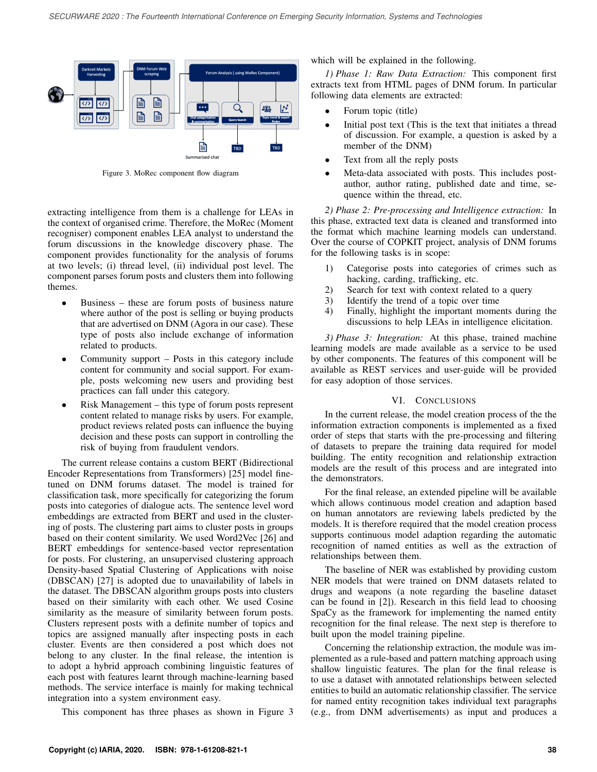

Figure 3. MoRec component flow diagram

extracting intelligence from them is a challenge for LEAs in the context of organised crime. Therefore, the MoRec (Moment recogniser) component enables LEA analyst to understand the forum discussions in the knowledge discovery phase. The component provides functionality for the analysis of forums at two levels; (i) thread level, (ii) individual post level. The component parses forum posts and clusters them into following themes.

- Business these are forum posts of business nature where author of the post is selling or buying products that are advertised on DNM (Agora in our case). These type of posts also include exchange of information related to products.
- Community support Posts in this category include content for community and social support. For example, posts welcoming new users and providing best practices can fall under this category.
- Risk Management this type of forum posts represent content related to manage risks by users. For example, product reviews related posts can influence the buying decision and these posts can support in controlling the risk of buying from fraudulent vendors.

The current release contains a custom BERT (Bidirectional Encoder Representations from Transformers) [25] model finetuned on DNM forums dataset. The model is trained for classification task, more specifically for categorizing the forum posts into categories of dialogue acts. The sentence level word embeddings are extracted from BERT and used in the clustering of posts. The clustering part aims to cluster posts in groups based on their content similarity. We used Word2Vec [26] and BERT embeddings for sentence-based vector representation for posts. For clustering, an unsupervised clustering approach Density-based Spatial Clustering of Applications with noise (DBSCAN) [27] is adopted due to unavailability of labels in the dataset. The DBSCAN algorithm groups posts into clusters based on their similarity with each other. We used Cosine similarity as the measure of similarity between forum posts. Clusters represent posts with a definite number of topics and topics are assigned manually after inspecting posts in each cluster. Events are then considered a post which does not belong to any cluster. In the final release, the intention is to adopt a hybrid approach combining linguistic features of each post with features learnt through machine-learning based methods. The service interface is mainly for making technical integration into a system environment easy.

This component has three phases as shown in Figure 3

which will be explained in the following.

*1) Phase 1: Raw Data Extraction:* This component first extracts text from HTML pages of DNM forum. In particular following data elements are extracted:

- Forum topic (title)
- Initial post text (This is the text that initiates a thread of discussion. For example, a question is asked by a member of the DNM)
- Text from all the reply posts
- Meta-data associated with posts. This includes postauthor, author rating, published date and time, sequence within the thread, etc.

*2) Phase 2: Pre-processing and Intelligence extraction:* In this phase, extracted text data is cleaned and transformed into the format which machine learning models can understand. Over the course of COPKIT project, analysis of DNM forums for the following tasks is in scope:

- 1) Categorise posts into categories of crimes such as hacking, carding, trafficking, etc.
- 2) Search for text with context related to a query
- 3) Identify the trend of a topic over time
- 4) Finally, highlight the important moments during the discussions to help LEAs in intelligence elicitation.

*3) Phase 3: Integration:* At this phase, trained machine learning models are made available as a service to be used by other components. The features of this component will be available as REST services and user-guide will be provided for easy adoption of those services.

#### VI. CONCLUSIONS

In the current release, the model creation process of the the information extraction components is implemented as a fixed order of steps that starts with the pre-processing and filtering of datasets to prepare the training data required for model building. The entity recognition and relationship extraction models are the result of this process and are integrated into the demonstrators.

For the final release, an extended pipeline will be available which allows continuous model creation and adaption based on human annotators are reviewing labels predicted by the models. It is therefore required that the model creation process supports continuous model adaption regarding the automatic recognition of named entities as well as the extraction of relationships between them.

The baseline of NER was established by providing custom NER models that were trained on DNM datasets related to drugs and weapons (a note regarding the baseline dataset can be found in [2]). Research in this field lead to choosing SpaCy as the framework for implementing the named entity recognition for the final release. The next step is therefore to built upon the model training pipeline.

Concerning the relationship extraction, the module was implemented as a rule-based and pattern matching approach using shallow linguistic features. The plan for the final release is to use a dataset with annotated relationships between selected entities to build an automatic relationship classifier. The service for named entity recognition takes individual text paragraphs (e.g., from DNM advertisements) as input and produces a